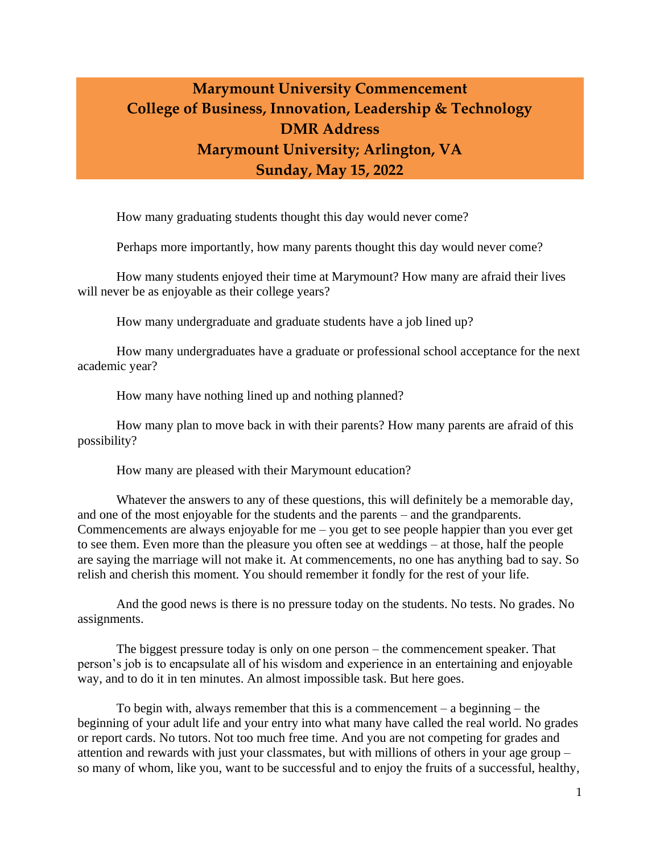## **Marymount University Commencement College of Business, Innovation, Leadership & Technology DMR Address Marymount University; Arlington, VA Sunday, May 15, 2022**

How many graduating students thought this day would never come?

Perhaps more importantly, how many parents thought this day would never come?

How many students enjoyed their time at Marymount? How many are afraid their lives will never be as enjoyable as their college years?

How many undergraduate and graduate students have a job lined up?

How many undergraduates have a graduate or professional school acceptance for the next academic year?

How many have nothing lined up and nothing planned?

How many plan to move back in with their parents? How many parents are afraid of this possibility?

How many are pleased with their Marymount education?

Whatever the answers to any of these questions, this will definitely be a memorable day, and one of the most enjoyable for the students and the parents – and the grandparents. Commencements are always enjoyable for me – you get to see people happier than you ever get to see them. Even more than the pleasure you often see at weddings – at those, half the people are saying the marriage will not make it. At commencements, no one has anything bad to say. So relish and cherish this moment. You should remember it fondly for the rest of your life.

And the good news is there is no pressure today on the students. No tests. No grades. No assignments.

The biggest pressure today is only on one person – the commencement speaker. That person's job is to encapsulate all of his wisdom and experience in an entertaining and enjoyable way, and to do it in ten minutes. An almost impossible task. But here goes.

To begin with, always remember that this is a commencement  $-$  a beginning  $-$  the beginning of your adult life and your entry into what many have called the real world. No grades or report cards. No tutors. Not too much free time. And you are not competing for grades and attention and rewards with just your classmates, but with millions of others in your age group – so many of whom, like you, want to be successful and to enjoy the fruits of a successful, healthy,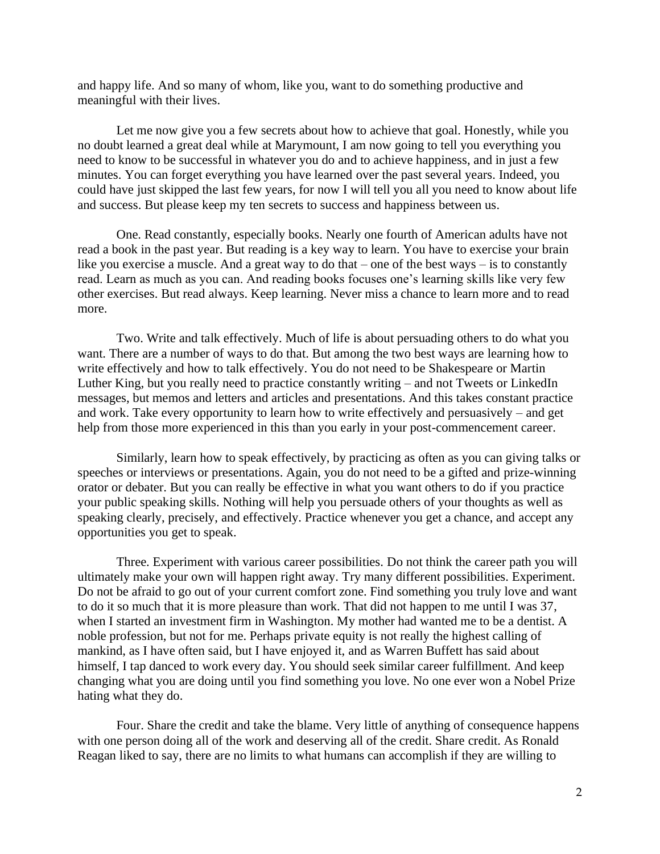and happy life. And so many of whom, like you, want to do something productive and meaningful with their lives.

Let me now give you a few secrets about how to achieve that goal. Honestly, while you no doubt learned a great deal while at Marymount, I am now going to tell you everything you need to know to be successful in whatever you do and to achieve happiness, and in just a few minutes. You can forget everything you have learned over the past several years. Indeed, you could have just skipped the last few years, for now I will tell you all you need to know about life and success. But please keep my ten secrets to success and happiness between us.

One. Read constantly, especially books. Nearly one fourth of American adults have not read a book in the past year. But reading is a key way to learn. You have to exercise your brain like you exercise a muscle. And a great way to do that – one of the best ways – is to constantly read. Learn as much as you can. And reading books focuses one's learning skills like very few other exercises. But read always. Keep learning. Never miss a chance to learn more and to read more.

Two. Write and talk effectively. Much of life is about persuading others to do what you want. There are a number of ways to do that. But among the two best ways are learning how to write effectively and how to talk effectively. You do not need to be Shakespeare or Martin Luther King, but you really need to practice constantly writing – and not Tweets or LinkedIn messages, but memos and letters and articles and presentations. And this takes constant practice and work. Take every opportunity to learn how to write effectively and persuasively – and get help from those more experienced in this than you early in your post-commencement career.

Similarly, learn how to speak effectively, by practicing as often as you can giving talks or speeches or interviews or presentations. Again, you do not need to be a gifted and prize-winning orator or debater. But you can really be effective in what you want others to do if you practice your public speaking skills. Nothing will help you persuade others of your thoughts as well as speaking clearly, precisely, and effectively. Practice whenever you get a chance, and accept any opportunities you get to speak.

Three. Experiment with various career possibilities. Do not think the career path you will ultimately make your own will happen right away. Try many different possibilities. Experiment. Do not be afraid to go out of your current comfort zone. Find something you truly love and want to do it so much that it is more pleasure than work. That did not happen to me until I was 37, when I started an investment firm in Washington. My mother had wanted me to be a dentist. A noble profession, but not for me. Perhaps private equity is not really the highest calling of mankind, as I have often said, but I have enjoyed it, and as Warren Buffett has said about himself, I tap danced to work every day. You should seek similar career fulfillment. And keep changing what you are doing until you find something you love. No one ever won a Nobel Prize hating what they do.

Four. Share the credit and take the blame. Very little of anything of consequence happens with one person doing all of the work and deserving all of the credit. Share credit. As Ronald Reagan liked to say, there are no limits to what humans can accomplish if they are willing to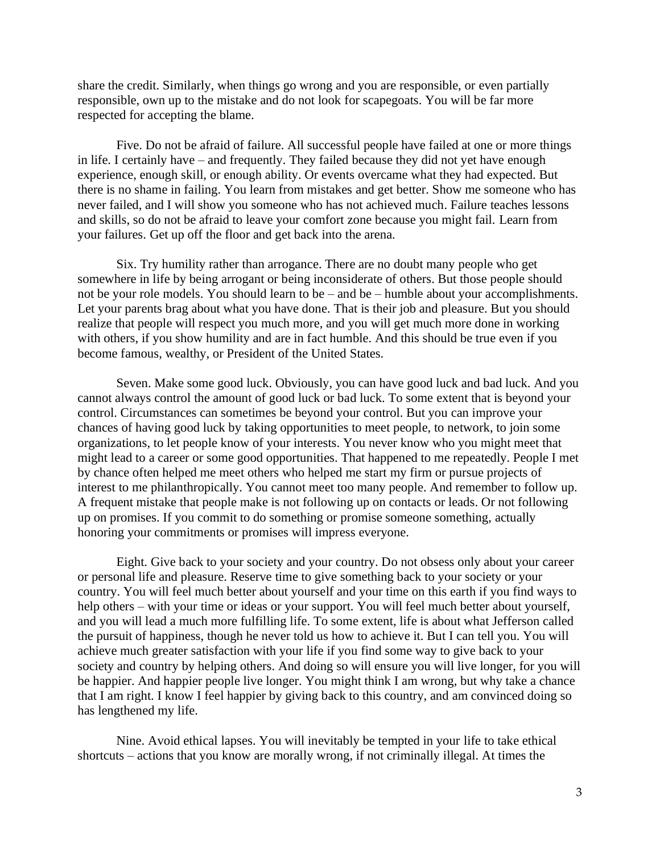share the credit. Similarly, when things go wrong and you are responsible, or even partially responsible, own up to the mistake and do not look for scapegoats. You will be far more respected for accepting the blame.

Five. Do not be afraid of failure. All successful people have failed at one or more things in life. I certainly have – and frequently. They failed because they did not yet have enough experience, enough skill, or enough ability. Or events overcame what they had expected. But there is no shame in failing. You learn from mistakes and get better. Show me someone who has never failed, and I will show you someone who has not achieved much. Failure teaches lessons and skills, so do not be afraid to leave your comfort zone because you might fail. Learn from your failures. Get up off the floor and get back into the arena.

Six. Try humility rather than arrogance. There are no doubt many people who get somewhere in life by being arrogant or being inconsiderate of others. But those people should not be your role models. You should learn to be – and be – humble about your accomplishments. Let your parents brag about what you have done. That is their job and pleasure. But you should realize that people will respect you much more, and you will get much more done in working with others, if you show humility and are in fact humble. And this should be true even if you become famous, wealthy, or President of the United States.

Seven. Make some good luck. Obviously, you can have good luck and bad luck. And you cannot always control the amount of good luck or bad luck. To some extent that is beyond your control. Circumstances can sometimes be beyond your control. But you can improve your chances of having good luck by taking opportunities to meet people, to network, to join some organizations, to let people know of your interests. You never know who you might meet that might lead to a career or some good opportunities. That happened to me repeatedly. People I met by chance often helped me meet others who helped me start my firm or pursue projects of interest to me philanthropically. You cannot meet too many people. And remember to follow up. A frequent mistake that people make is not following up on contacts or leads. Or not following up on promises. If you commit to do something or promise someone something, actually honoring your commitments or promises will impress everyone.

Eight. Give back to your society and your country. Do not obsess only about your career or personal life and pleasure. Reserve time to give something back to your society or your country. You will feel much better about yourself and your time on this earth if you find ways to help others – with your time or ideas or your support. You will feel much better about yourself, and you will lead a much more fulfilling life. To some extent, life is about what Jefferson called the pursuit of happiness, though he never told us how to achieve it. But I can tell you. You will achieve much greater satisfaction with your life if you find some way to give back to your society and country by helping others. And doing so will ensure you will live longer, for you will be happier. And happier people live longer. You might think I am wrong, but why take a chance that I am right. I know I feel happier by giving back to this country, and am convinced doing so has lengthened my life.

Nine. Avoid ethical lapses. You will inevitably be tempted in your life to take ethical shortcuts – actions that you know are morally wrong, if not criminally illegal. At times the